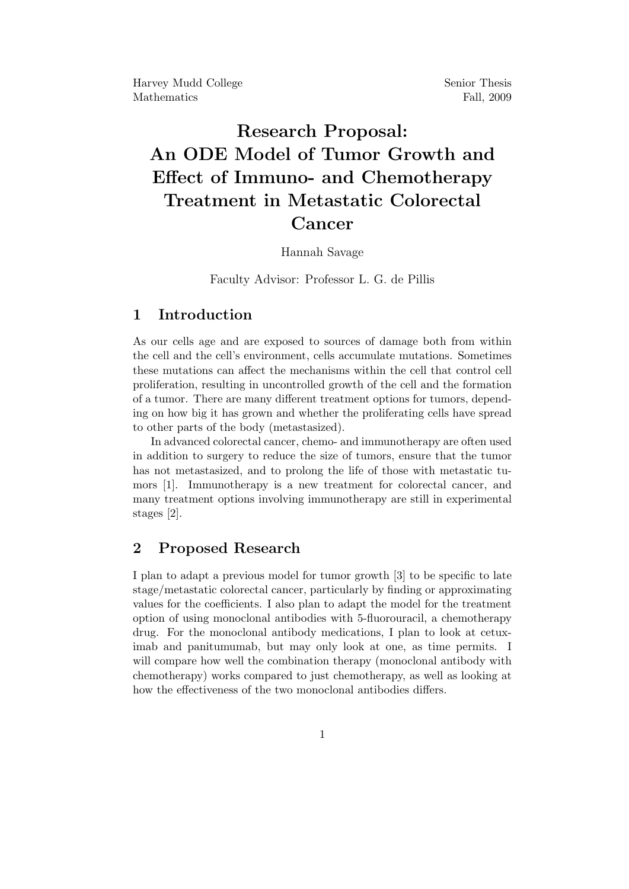# Research Proposal: An ODE Model of Tumor Growth and Effect of Immuno- and Chemotherapy Treatment in Metastatic Colorectal Cancer

#### Hannah Savage

Faculty Advisor: Professor L. G. de Pillis

## 1 Introduction

As our cells age and are exposed to sources of damage both from within the cell and the cell's environment, cells accumulate mutations. Sometimes these mutations can affect the mechanisms within the cell that control cell proliferation, resulting in uncontrolled growth of the cell and the formation of a tumor. There are many different treatment options for tumors, depending on how big it has grown and whether the proliferating cells have spread to other parts of the body (metastasized).

In advanced colorectal cancer, chemo- and immunotherapy are often used in addition to surgery to reduce the size of tumors, ensure that the tumor has not metastasized, and to prolong the life of those with metastatic tumors [1]. Immunotherapy is a new treatment for colorectal cancer, and many treatment options involving immunotherapy are still in experimental stages [2].

## 2 Proposed Research

I plan to adapt a previous model for tumor growth [3] to be specific to late stage/metastatic colorectal cancer, particularly by finding or approximating values for the coefficients. I also plan to adapt the model for the treatment option of using monoclonal antibodies with 5-fluorouracil, a chemotherapy drug. For the monoclonal antibody medications, I plan to look at cetuximab and panitumumab, but may only look at one, as time permits. I will compare how well the combination therapy (monoclonal antibody with chemotherapy) works compared to just chemotherapy, as well as looking at how the effectiveness of the two monoclonal antibodies differs.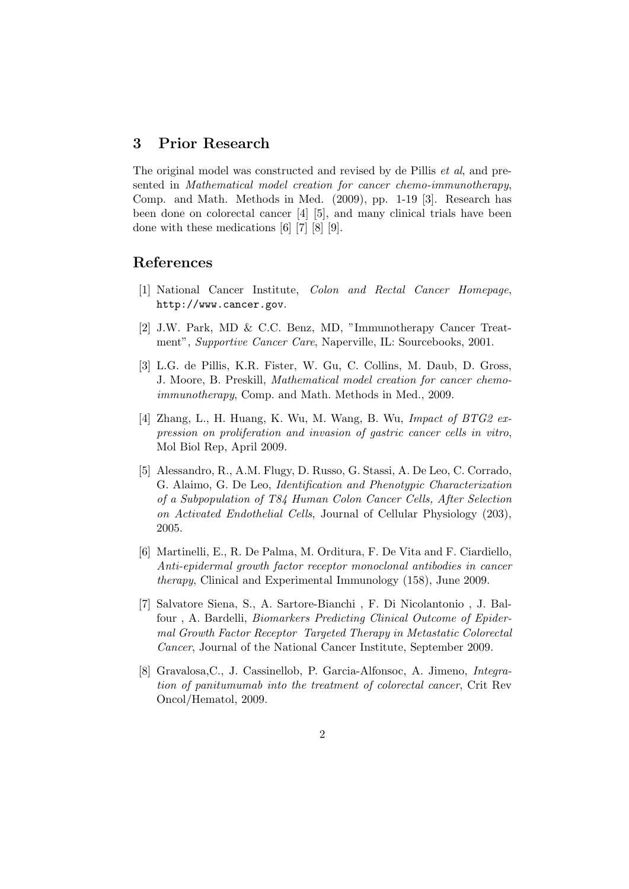## 3 Prior Research

The original model was constructed and revised by de Pillis et al, and presented in Mathematical model creation for cancer chemo-immunotherapy, Comp. and Math. Methods in Med. (2009), pp. 1-19 [3]. Research has been done on colorectal cancer [4] [5], and many clinical trials have been done with these medications [6] [7] [8] [9].

### References

- [1] National Cancer Institute, Colon and Rectal Cancer Homepage, http://www.cancer.gov.
- [2] J.W. Park, MD & C.C. Benz, MD, "Immunotherapy Cancer Treatment", Supportive Cancer Care, Naperville, IL: Sourcebooks, 2001.
- [3] L.G. de Pillis, K.R. Fister, W. Gu, C. Collins, M. Daub, D. Gross, J. Moore, B. Preskill, Mathematical model creation for cancer chemoimmunotherapy, Comp. and Math. Methods in Med., 2009.
- [4] Zhang, L., H. Huang, K. Wu, M. Wang, B. Wu, Impact of BTG2  $ex$ pression on proliferation and invasion of gastric cancer cells in vitro, Mol Biol Rep, April 2009.
- [5] Alessandro, R., A.M. Flugy, D. Russo, G. Stassi, A. De Leo, C. Corrado, G. Alaimo, G. De Leo, Identification and Phenotypic Characterization of a Subpopulation of T84 Human Colon Cancer Cells, After Selection on Activated Endothelial Cells, Journal of Cellular Physiology (203), 2005.
- [6] Martinelli, E., R. De Palma, M. Orditura, F. De Vita and F. Ciardiello, Anti-epidermal growth factor receptor monoclonal antibodies in cancer therapy, Clinical and Experimental Immunology (158), June 2009.
- [7] Salvatore Siena, S., A. Sartore-Bianchi , F. Di Nicolantonio , J. Balfour , A. Bardelli, Biomarkers Predicting Clinical Outcome of Epidermal Growth Factor Receptor Targeted Therapy in Metastatic Colorectal Cancer, Journal of the National Cancer Institute, September 2009.
- [8] Gravalosa,C., J. Cassinellob, P. Garcia-Alfonsoc, A. Jimeno, Integration of panitumumab into the treatment of colorectal cancer, Crit Rev Oncol/Hematol, 2009.